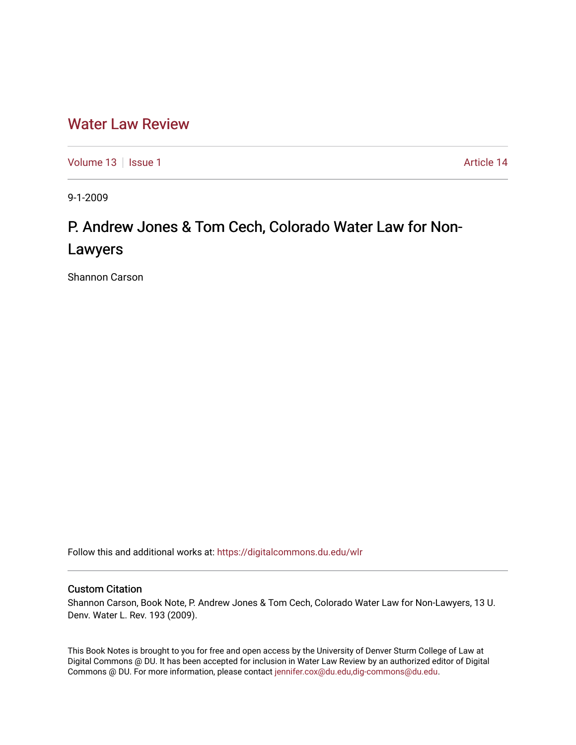## [Water Law Review](https://digitalcommons.du.edu/wlr)

[Volume 13](https://digitalcommons.du.edu/wlr/vol13) | [Issue 1](https://digitalcommons.du.edu/wlr/vol13/iss1) Article 14

9-1-2009

# P. Andrew Jones & Tom Cech, Colorado Water Law for Non-Lawyers

Shannon Carson

Follow this and additional works at: [https://digitalcommons.du.edu/wlr](https://digitalcommons.du.edu/wlr?utm_source=digitalcommons.du.edu%2Fwlr%2Fvol13%2Fiss1%2F14&utm_medium=PDF&utm_campaign=PDFCoverPages) 

### Custom Citation

Shannon Carson, Book Note, P. Andrew Jones & Tom Cech, Colorado Water Law for Non-Lawyers, 13 U. Denv. Water L. Rev. 193 (2009).

This Book Notes is brought to you for free and open access by the University of Denver Sturm College of Law at Digital Commons @ DU. It has been accepted for inclusion in Water Law Review by an authorized editor of Digital Commons @ DU. For more information, please contact [jennifer.cox@du.edu,dig-commons@du.edu.](mailto:jennifer.cox@du.edu,dig-commons@du.edu)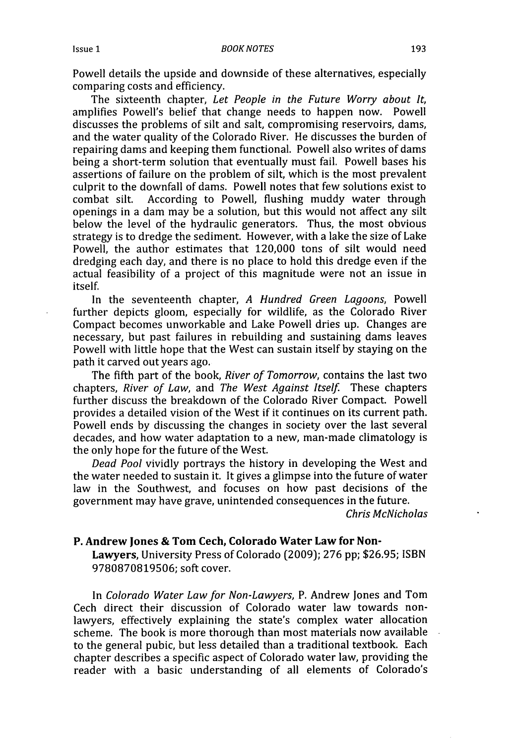Powell details the upside and downside of these alternatives, especially comparing costs and efficiency.

The sixteenth chapter, *Let People in the Future Worry about It,* amplifies Powell's belief that change needs to happen now. Powell discusses the problems of silt and salt, compromising reservoirs, dams, and the water quality of the Colorado River. He discusses the burden of repairing dams and keeping them functional. Powell also writes of dams being a short-term solution that eventually must fail. Powell bases his assertions of failure on the problem of silt, which is the most prevalent culprit to the downfall of dams. Powell notes that few solutions exist to combat silt. According to Powell. flushing muddy water through According to Powell, flushing muddy water through openings in a dam may be a solution, but this would not affect any silt below the level of the hydraulic generators. Thus, the most obvious strategy is to dredge the sediment. However, with a lake the size of Lake Powell, the author estimates that 120,000 tons of silt would need dredging each day, and there is no place to hold this dredge even if the actual feasibility of a project of this magnitude were not an issue in itself.

In the seventeenth chapter, *A Hundred Green Lagoons,* Powell further depicts gloom, especially for wildlife, as the Colorado River Compact becomes unworkable and Lake Powell dries up. Changes are necessary, but past failures in rebuilding and sustaining dams leaves Powell with little hope that the West can sustain itself by staying on the path it carved out years ago.

The fifth part of the book, *River of Tomorrow,* contains the last two chapters, *River of Law,* and *The West Against Itself.* These chapters further discuss the breakdown of the Colorado River Compact. Powell provides a detailed vision of the West if it continues on its current path. Powell ends by discussing the changes in society over the last several decades, and how water adaptation to a new, man-made climatology is the only hope for the future of the West.

*Dead Pool* vividly portrays the history in developing the West and the water needed to sustain it. It gives a glimpse into the future of water law in the Southwest, and focuses on how past decisions of the government may have grave, unintended consequences in the future.

*Chris McNicholas*

#### **P. Andrew Jones & Tom Cech, Colorado Water Law for Non-**

**Lawyers,** University Press of Colorado **(2009); 276 pp; \$26.95; ISBN 9780870819506;** soft cover.

In *Colorado Water Law for Non-Lawyers,* P. Andrew Jones and Tom Cech direct their discussion of Colorado water law towards nonlawyers, effectively explaining the state's complex water allocation scheme. The book is more thorough than most materials now available to the general pubic, but less detailed than a traditional textbook. Each chapter describes a specific aspect of Colorado water law, providing the reader with a basic understanding of all elements of Colorado's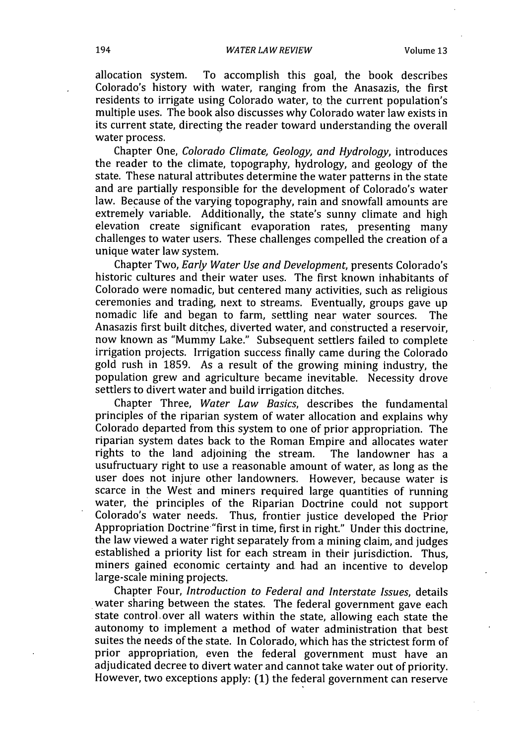allocation system. To accomplish this goal, the book describes Colorado's history with water, ranging from the Anasazis, the first residents to irrigate using Colorado water, to the current population's multiple uses. The book also discusses why Colorado water law exists in its current state, directing the reader toward understanding the overall water process.

Chapter One, Colorado Climate, Geology, and *Hydrology,* introduces the reader to the climate, topography, hydrology, and geology of the state. These natural attributes determine the water patterns in the state and are partially responsible for the development of Colorado's water law. Because of the varying topography, rain and snowfall amounts are extremely variable. Additionally, the state's sunny climate and high elevation create significant evaporation rates, presenting many challenges to water users. These challenges compelled the creation of a unique water law system.

Chapter Two, *Early Water Use and Development,* presents Colorado's historic cultures and their water uses. The first known inhabitants of Colorado were nomadic, but centered many activities, such as religious ceremonies and trading, next to streams. Eventually, groups gave up nomadic life and began to farm, settling near water sources. The Anasazis first built ditches, diverted water, and constructed a reservoir, now known as "Mummy Lake." Subsequent settlers failed to complete irrigation projects. Irrigation success finally came during the Colorado gold rush in 1859. As a result of the growing mining industry, the population grew and agriculture became inevitable. Necessity drove settlers to divert water and build irrigation ditches.

Chapter Three, *Water Law Basics,* describes the fundamental principles of the riparian system of water allocation and explains why Colorado departed from this system to one of prior appropriation. The riparian system dates back to the Roman Empire and allocates water rights to the land adjoining the stream. The landowner has a usufructuary right to use a reasonable amount of water, as long as the user does not injure other landowners. However, because water is scarce in the West and miners required large quantities of running water, the principles of the Riparian Doctrine could not support Colorado's water needs. Thus, frontier justice developed the Prior Appropriation Doctrine"first in time, first in right." Under this doctrine, the law viewed a water right separately from a mining claim, and judges established a priority list for each stream in their jurisdiction. Thus, miners gained economic certainty and had an incentive to develop large-scale mining projects.

Chapter Four, *Introduction to Federal and Interstate Issues,* details water sharing between the states. The federal government gave each state control. over all waters within the state, allowing each state the autonomy to implement a method of water administration that best suites the needs of the state. In Colorado, which has the strictest form of prior appropriation, even the federal government must have an adjudicated decree to divert water and cannot take water out of priority. However, two exceptions apply: (1) the federal government can reserve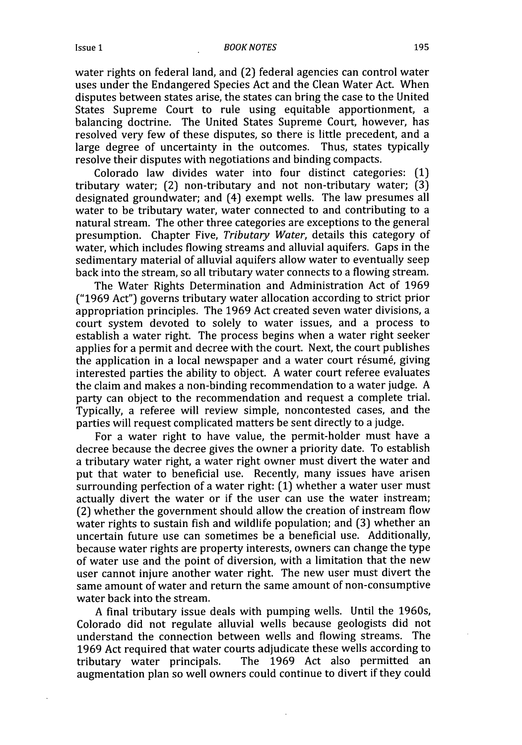#### *BOOK NOTES*

water rights on federal land, and (2) federal agencies can control water uses under the Endangered Species Act and the Clean Water Act. When disputes between states arise, the states can bring the case to the United States Supreme Court to rule using equitable apportionment, a balancing doctrine. The United States Supreme Court, however, has resolved very few of these disputes, so there is little precedent, and a large degree of uncertainty in the outcomes. Thus, states typically resolve their disputes with negotiations and binding compacts.

Colorado law divides water into four distinct categories: (1) tributary water; (2) non-tributary and not non-tributary water; (3) designated groundwater; and (4) exempt wells. The law presumes all water to be tributary water, water connected to and contributing to a natural stream. The other three categories are exceptions to the general presumption. Chapter Five, *Tributary Water,* details this category of water, which includes flowing streams and alluvial aquifers. Gaps in the sedimentary material of alluvial aquifers allow water to eventually seep back into the stream, so all tributary water connects to a flowing stream.

The Water Rights Determination and Administration Act of 1969 ("1969 Act") governs tributary water allocation according to strict prior appropriation principles. The 1969 Act created seven water divisions, a court system devoted to solely to water issues, and a process to establish a water right. The process begins when a water right seeker applies for a permit and decree with the court. Next, the court publishes the application in a local newspaper and a water court résumé, giving interested parties the ability to object. A water court referee evaluates the claim and makes a non-binding recommendation to a water judge. A party can object to the recommendation and request a complete trial. Typically, a referee will review simple, noncontested cases, and the parties will request complicated matters be sent directly to a judge.

For a water right to have value, the permit-holder must have a decree because the decree gives the owner a priority date. To establish a tributary water right, a water right owner must divert the water and put that water to beneficial use. Recently, many issues have arisen surrounding perfection of a water right: (1) whether a water user must actually divert the water or if the user can use the water instream; (2) whether the government should allow the creation of instream flow water rights to sustain fish and wildlife population; and (3) whether an uncertain future use can sometimes be a beneficial use. Additionally, because water rights are property interests, owners can change the type of water use and the point of diversion, with a limitation that the new user cannot injure another water right. The new user must divert the same amount of water and return the same amount of non-consumptive water back into the stream.

A final tributary issue deals with pumping wells. Until the 1960s, Colorado did not regulate alluvial wells because geologists did not understand the connection between wells and flowing streams. The 1969 Act required that water courts adjudicate these wells according to tributary water principals. The 1969 Act also permitted an augmentation plan so well owners could continue to divert if they could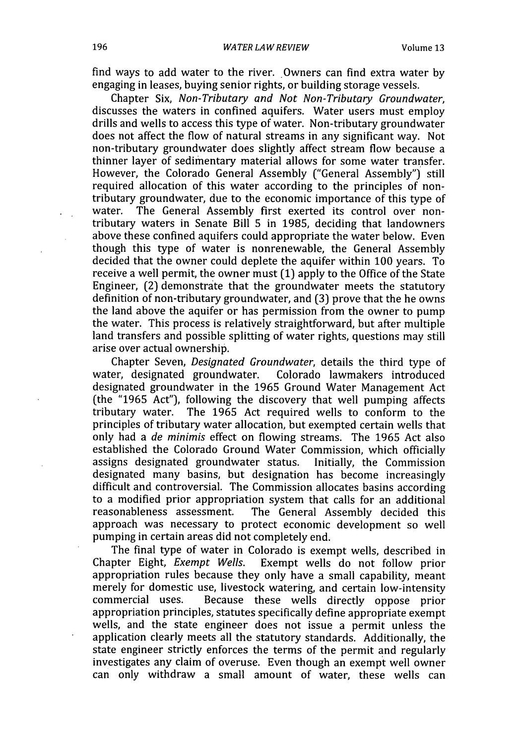find ways to add water to the river. Owners can find extra water by engaging in leases, buying senior rights, or building storage vessels.

Chapter Six, *Non-Tributary and Not Non-Tributary Groundwater,* discusses the waters in confined aquifers. Water users must employ drills and wells to access this type of water. Non-tributary groundwater does not affect the flow of natural streams in any significant way. Not non-tributary groundwater does slightly affect stream flow because a thinner layer of sedimentary material allows for some water transfer. However, the Colorado General Assembly ("General Assembly") still required allocation of this water according to the principles of nontributary groundwater, due to the economic importance of this type of The General Assembly first exerted its control over nontributary waters in Senate Bill 5 in 1985, deciding that landowners above these confined aquifers could appropriate the water below. Even though this type of water is nonrenewable, the General Assembly decided that the owner could deplete the aquifer within 100 years. To receive a well permit, the owner must (1) apply to the Office of the State Engineer, (2) demonstrate that the groundwater meets the statutory definition of non-tributary groundwater, and (3) prove that the he owns the land above the aquifer or has permission from the owner to pump the water. This process is relatively straightforward, but after multiple land transfers and possible splitting of water rights, questions may still arise over actual ownership.

Chapter Seven, *Designated Groundwater,* details the third type of water, designated groundwater. designated groundwater in the 1965 Ground Water Management Act (the "1965 Act"), following the discovery that well pumping affects tributary water. The 1965 Act required wells to conform to the principles of tributary water allocation, but exempted certain wells that only had a *de minimis* effect on flowing streams. The 1965 Act also established the Colorado Ground Water Commission, which officially assigns designated groundwater status. Initially, the Commission designated many basins, but designation has become increasingly difficult and controversial. The Commission allocates basins according to a modified prior appropriation system that calls for an additional reasonableness assessment. The General Assembly decided this approach was necessary to protect economic development so well pumping in certain areas did not completely end.

The final type of water in Colorado is exempt wells, described in Chapter Eight, *Exempt Wells.* Exempt wells do not follow prior appropriation rules because they only have a small capability, meant merely for domestic use, livestock watering, and certain low-intensity commercial uses. Because these wells directly oppose prior appropriation principles, statutes specifically define appropriate exempt wells, and the state engineer does not issue a permit unless the application clearly meets all the statutory standards. Additionally, the state engineer strictly enforces the terms of the permit and regularly investigates any claim of overuse. Even though an exempt well owner can only withdraw a small amount of water, these wells can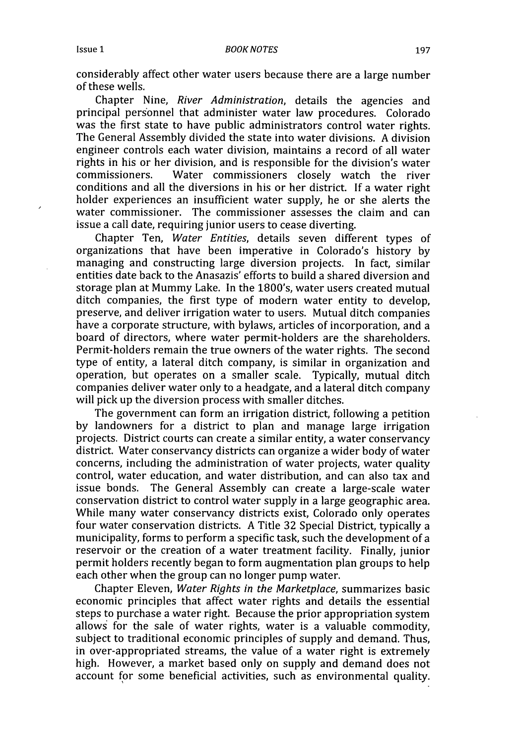considerably affect other water users because there are a large number of these wells.

Chapter Nine, *River Administration,* details the agencies and principal personnel that administer water law procedures. Colorado was the first state to have public administrators control water rights. The General Assembly divided the state into water divisions. A division engineer controls each water division, maintains a record of all water rights in his or her division, and is responsible for the division's water commissioners. Water commissioners closely watch the river conditions and all the diversions in his or her district. If a water right holder experiences an insufficient water supply, he or she alerts the water commissioner. The commissioner assesses the claim and can issue a call date, requiring junior users to cease diverting.

Chapter Ten, *Water Entities,* details seven different types of organizations that have been imperative in Colorado's history by managing and constructing large diversion projects. In fact, similar entities date back to the Anasazis' efforts to build a shared diversion and storage plan at Mummy Lake. In the 1800's, water users created mutual ditch companies, the first type of modern water entity to develop, preserve, and deliver irrigation water to users. Mutual ditch companies have a corporate structure, with bylaws, articles of incorporation, and a board of directors, where water permit-holders are the shareholders. Permit-holders remain the true owners of the water rights. The second type of entity, a lateral ditch company, is similar in organization and operation, but operates on a smaller scale. Typically, mutual ditch companies deliver water only to a headgate, and a lateral ditch company will pick up the diversion process with smaller ditches.

The government can form an irrigation district, following a petition by landowners for a district to plan and manage large irrigation projects. District courts can create a similar entity, a water conservancy district. Water conservancy districts can organize a wider body of water concerns, including the administration of water projects, water quality control, water education, and water distribution, and can also tax and issue bonds. The General Assembly can create a large-scale water conservation district to control water supply in a large geographic area. While many water conservancy districts exist, Colorado only operates four water conservation districts. A Title 32 Special District, typically a municipality, forms to perform a specific task, such the development of a reservoir or the creation of a water treatment facility. Finally, junior permit holders recently began to form augmentation plan groups to help each other when the group can no longer pump water.

Chapter Eleven, *Water Rights in the Marketplace,* summarizes basic economic principles that affect water rights and details the essential steps to purchase a water right. Because the prior appropriation system allows for the sale of water rights, water is a valuable commodity, subject to traditional economic principles of supply and demand. Thus, in over-appropriated streams, the value of a water right is extremely high. However, a market based only on supply and demand does not account for some beneficial activities, such as environmental quality.